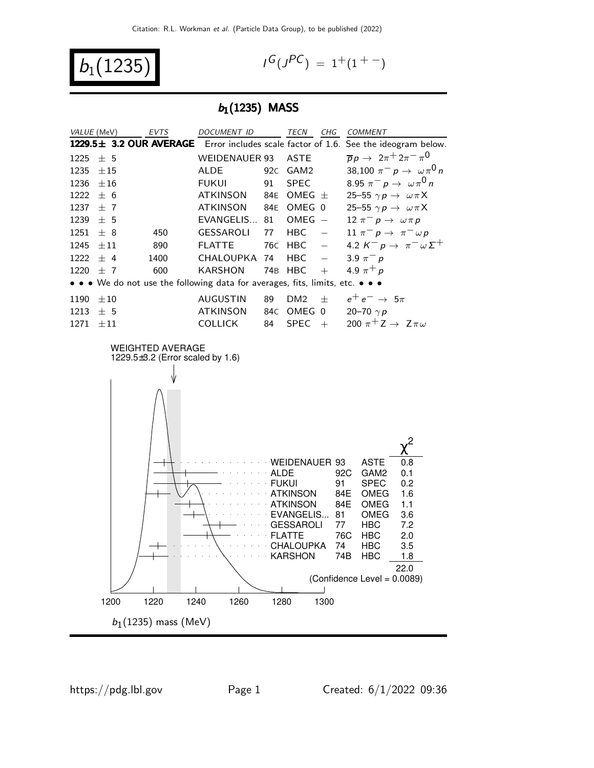$b_1(1235)$ 

$$
I^G(J^{PC}) = 1^+(1^{+-})
$$

### $b_1(1235)$  MASS

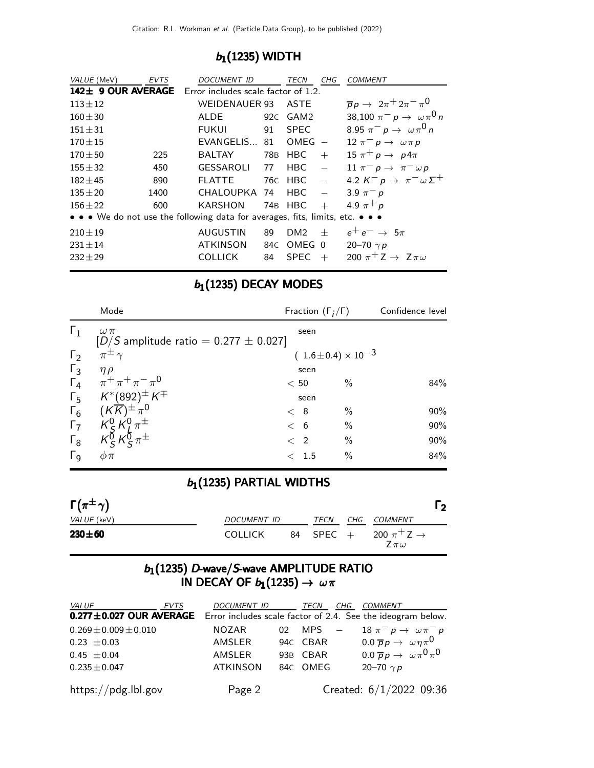## $b_1(1235)$  WIDTH

| VALUE (MeV)  | <b>EVTS</b> | DOCUMENT ID                                                                   |    | <b>TECN</b>     | CHG | <b>COMMENT</b>                                       |
|--------------|-------------|-------------------------------------------------------------------------------|----|-----------------|-----|------------------------------------------------------|
|              |             | 142± 9 OUR AVERAGE Error includes scale factor of 1.2.                        |    |                 |     |                                                      |
| $113 \pm 12$ |             | WEIDENAUER 93                                                                 |    | ASTE            |     | $\overline{p}p \rightarrow 2\pi^+ 2\pi^- \pi^0$      |
| $160 + 30$   |             | <b>ALDE</b>                                                                   |    | 92C GAM2        |     | 38,100 $\pi^- p \to \omega \pi^0 n$                  |
| $151 \pm 31$ |             | FUKUL                                                                         | 91 | <b>SPEC</b>     |     | 8.95 $\pi^- p \to \omega \pi^0 n$                    |
| $170 + 15$   |             | EVANGELIS                                                                     | 81 | $OMEG -$        |     | 12 $\pi^ p \rightarrow \omega \pi p$                 |
| $170 + 50$   | 225         | <b>BALTAY</b>                                                                 |    | 78B HBC         |     | $+$ 15 $\pi^+ p \rightarrow p 4\pi$                  |
| $155 + 32$   | 450         | GESSAROLI 77                                                                  |    | <b>HBC</b>      |     | 11 $\pi^- p \to \pi^- \omega p$                      |
| $182 + 45$   | 890         | <b>FLATTE</b>                                                                 |    | 76C HBC –       |     | 4.2 $K^- p \rightarrow \pi^- \omega \Sigma^+$        |
| $135 + 20$   | 1400        | $CHALOUPKA$ 74 HBC $-$                                                        |    |                 |     | 3.9 $\pi^- p$                                        |
| $156 + 22$   | 600         | KARSHON                                                                       |    | 74B HBC         | $+$ | 4.9 $\pi^+ p$                                        |
|              |             | • • • We do not use the following data for averages, fits, limits, etc. • • • |    |                 |     |                                                      |
| $210 \pm 19$ |             | AUGUSTIN                                                                      | 89 | DM <sub>2</sub> | $+$ | $e^+e^- \rightarrow 5\pi$                            |
| $231 \pm 14$ |             | ATKINSON                                                                      |    | 84C OMEG 0      |     | 20-70 $\gamma p$                                     |
| $232 + 29$   |             | <b>COLLICK</b>                                                                | 84 | <b>SPEC</b>     | $+$ | 200 $\pi$ <sup>+</sup> Z $\rightarrow$ Z $\pi\omega$ |
|              |             |                                                                               |    |                 |     |                                                      |

# $b_1(1235)$  DECAY MODES

|                       | Mode                                                        | Fraction $(\Gamma_i/\Gamma)$   | Confidence level |
|-----------------------|-------------------------------------------------------------|--------------------------------|------------------|
| $\Gamma_1$            | $\omega \pi$<br>$[D/S$ amplitude ratio = 0.277 $\pm$ 0.027] | seen                           |                  |
| $\Gamma_2$            | $\pi^{\pm}$                                                 | $(1.6 \pm 0.4) \times 10^{-3}$ |                  |
| $\Gamma_3$            | $\eta \rho$                                                 | seen                           |                  |
|                       | $\Gamma_4$ $\pi^+ \pi^+ \pi^- \pi^0$                        | $\frac{0}{0}$<br>< 50          | 84%              |
|                       | $\Gamma_5$ $K^*(892)^\pm K^\mp$                             | seen                           |                  |
| $\Gamma_6$            | $(K\overline{K})^{\pm} \pi^0$                               | $\%$<br>< 8                    | 90%              |
| $\Gamma_7$            | $K_S^0 K_I^0 \pi^{\pm}$                                     | $\%$<br>< 6                    | 90%              |
| $\Gamma_8$            | $K^{\bar{0}}_{S}K^{\bar{0}}_{S}\pi^{\pm}$                   | $\%$<br>$\langle$ 2            | 90%              |
| $\Gamma_{\mathsf{Q}}$ | $\phi \pi$                                                  | $\%$<br>1.5<br>$\lt$           | 84%              |
|                       |                                                             |                                |                  |

# $b_1(1235)$  PARTIAL WIDTHS

| $\Gamma(\pi^{\pm}\gamma)$ |                |           |     |                                             | $\overline{2}$ |
|---------------------------|----------------|-----------|-----|---------------------------------------------|----------------|
| <i>VALUE</i> (keV)        | DOCUMENT ID    | TECN      | CHG | COMMENT                                     |                |
| $230 + 60$                | <b>COLLICK</b> | 84 SPEC + |     | 200 $\pi^+$ Z $\rightarrow$<br>$Z\pi\omega$ |                |

### $b_1$ (1235) D-wave/S-wave AMPLITUDE RATIO IN DECAY OF  $b_1(1235) \rightarrow \omega \pi$

| <i>VALUE</i>                                                                               | EVTS | DOCUMENT ID     |                 | TECN     | CHG COMMENT                                        |
|--------------------------------------------------------------------------------------------|------|-----------------|-----------------|----------|----------------------------------------------------|
| <b>0.277±0.027 OUR AVERAGE</b> Error includes scale factor of 2.4. See the ideogram below. |      |                 |                 |          |                                                    |
| $0.269 \pm 0.009 \pm 0.010$                                                                |      | <b>NOZAR</b>    | 02 <sub>1</sub> | MPS —    | 18 $\pi^ p \rightarrow \omega \pi^ p$              |
| $0.23 \pm 0.03$                                                                            |      | AMSLER          |                 | 94C CBAR | 0.0 $\overline{p}p \rightarrow \omega \eta \pi^0$  |
| $0.45 \pm 0.04$                                                                            |      | AMSLER          |                 | 93B CBAR | 0.0 $\overline{p}p \rightarrow \omega \pi^0 \pi^0$ |
| $0.235 \pm 0.047$                                                                          |      | <b>ATKINSON</b> |                 | 84C OMEG | 20–70 $\gamma p$                                   |
| https://pdg.lbl.gov                                                                        |      | Page 2          |                 |          | Created: 6/1/2022 09:36                            |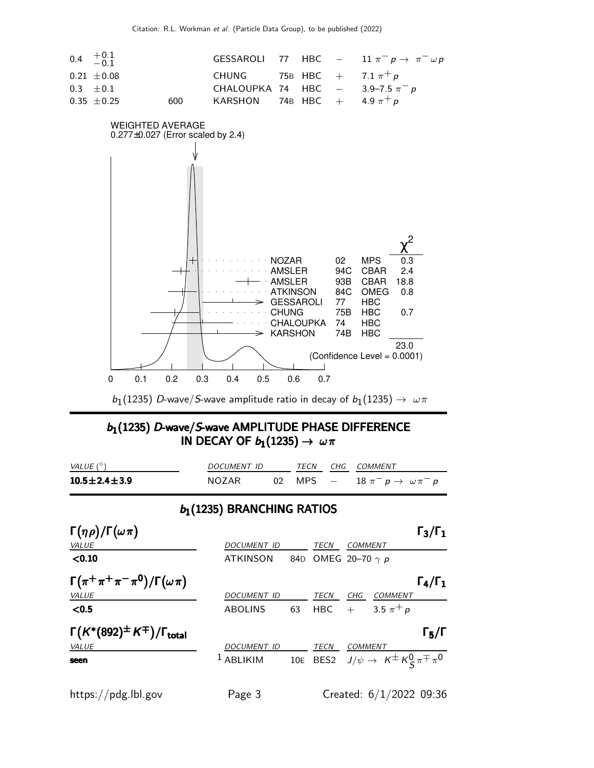

 $b_1(1235)$   $D$ -wave/S-wave amplitude ratio in decay of  $b_1(1235) \to~\omega\pi$ 

### $b_1$ (1235) D-wave/S-wave AMPLITUDE PHASE DIFFERENCE IN DECAY OF  $b_1(1235) \rightarrow \omega \pi$

| VALUE (°)              | <i>DOCUMENT ID</i> |  | TECN CHG COMMENT                         |
|------------------------|--------------------|--|------------------------------------------|
| $10.5 \pm 2.4 \pm 3.9$ | <b>NOZAR</b>       |  | 02 MPS $-$ 18 $\pi^ p \to \omega \pi^ p$ |

### $b_1(1235)$  BRANCHING RATIOS

| $\Gamma(\eta \rho)/\Gamma(\omega \pi)$                |                      |     |                       |                |                                                             | $\Gamma_3/\Gamma_1$ |
|-------------------------------------------------------|----------------------|-----|-----------------------|----------------|-------------------------------------------------------------|---------------------|
| VALUE                                                 | <b>DOCUMENT ID</b>   |     | TECN                  | COMMENT        |                                                             |                     |
| < 0.10                                                | <b>ATKINSON</b>      | 84D | OMEG 20–70 $\gamma$ p |                |                                                             |                     |
| $\Gamma(\pi^+\pi^+\pi^-\pi^0)/\Gamma(\omega\pi)$      |                      |     |                       |                |                                                             | $\Gamma_4/\Gamma_1$ |
| VALUE                                                 | <b>DOCUMENT ID</b>   |     | TECN                  | CHG            | <b>COMMENT</b>                                              |                     |
| $0.5$                                                 | <b>ABOLINS</b>       | 63  | HBC                   | $+$            | 3.5 $\pi^{+} p$                                             |                     |
| $\Gamma(K^*(892)^{\pm}K^{\mp})/\Gamma_{\text{total}}$ |                      |     |                       |                |                                                             | $\Gamma_5/\Gamma$   |
| VALUE                                                 | <b>DOCUMENT ID</b>   |     | TECN                  | <b>COMMENT</b> |                                                             |                     |
| seen                                                  | <sup>1</sup> ABLIKIM |     |                       |                | 10E BES2 $J/\psi \rightarrow K^{\pm} K^0_S \pi^{\mp} \pi^0$ |                     |
|                                                       |                      |     |                       |                |                                                             |                     |